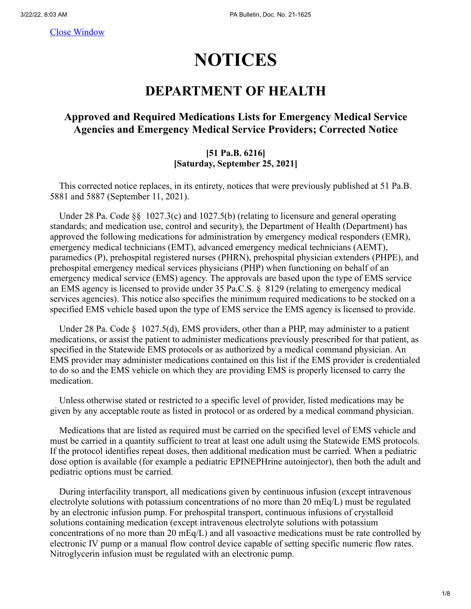[Close Window](javascript:window.close();)

# **NOTICES**

## **DEPARTMENT OF HEALTH**

#### **Approved and Required Medications Lists for Emergency Medical Service Agencies and Emergency Medical Service Providers; Corrected Notice**

#### **[51 Pa.B. 6216] [Saturday, September 25, 2021]**

 This corrected notice replaces, in its entirety, notices that were previously published at 51 Pa.B. 5881 and 5887 (September 11, 2021).

Under 28 Pa. Code §§ 1027.3(c) and 1027.5(b) (relating to licensure and general operating standards; and medication use, control and security), the Department of Health (Department) has approved the following medications for administration by emergency medical responders (EMR), emergency medical technicians (EMT), advanced emergency medical technicians (AEMT), paramedics (P), prehospital registered nurses (PHRN), prehospital physician extenders (PHPE), and prehospital emergency medical services physicians (PHP) when functioning on behalf of an emergency medical service (EMS) agency. The approvals are based upon the type of EMS service an EMS agency is licensed to provide under 35 Pa.C.S. § 8129 (relating to emergency medical services agencies). This notice also specifies the minimum required medications to be stocked on a specified EMS vehicle based upon the type of EMS service the EMS agency is licensed to provide.

Under 28 Pa. Code  $\S$  1027.5(d), EMS providers, other than a PHP, may administer to a patient medications, or assist the patient to administer medications previously prescribed for that patient, as specified in the Statewide EMS protocols or as authorized by a medical command physician. An EMS provider may administer medications contained on this list if the EMS provider is credentialed to do so and the EMS vehicle on which they are providing EMS is properly licensed to carry the medication.

 Unless otherwise stated or restricted to a specific level of provider, listed medications may be given by any acceptable route as listed in protocol or as ordered by a medical command physician.

Medications that are listed as required must be carried on the specified level of EMS vehicle and must be carried in a quantity sufficient to treat at least one adult using the Statewide EMS protocols. If the protocol identifies repeat doses, then additional medication must be carried. When a pediatric dose option is available (for example a pediatric EPINEPHrine autoinjector), then both the adult and pediatric options must be carried.

 During interfacility transport, all medications given by continuous infusion (except intravenous electrolyte solutions with potassium concentrations of no more than  $20 \text{ mEq/L}$ ) must be regulated by an electronic infusion pump. For prehospital transport, continuous infusions of crystalloid solutions containing medication (except intravenous electrolyte solutions with potassium concentrations of no more than 20  $mEq/L$ ) and all vasoactive medications must be rate controlled by electronic IV pump or a manual flow control device capable of setting specific numeric flow rates. Nitroglycerin infusion must be regulated with an electronic pump.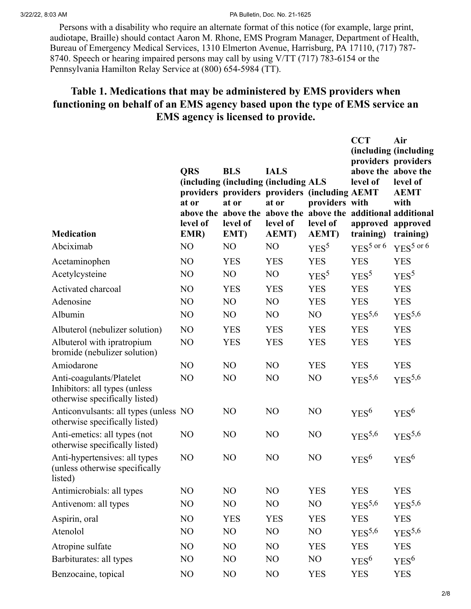3/22/22, 8:03 AM PA Bulletin, Doc. No. 21-1625

 Persons with a disability who require an alternate format of this notice (for example, large print, audiotape, Braille) should contact Aaron M. Rhone, EMS Program Manager, Department of Health, Bureau of Emergency Medical Services, 1310 Elmerton Avenue, Harrisburg, PA 17110, (717) 787- 8740. Speech or hearing impaired persons may call by using V/TT (717) 783-6154 or the Pennsylvania Hamilton Relay Service at (800) 654-5984 (TT).

### **Table 1. Medications that may be administered by EMS providers when functioning on behalf of an EMS agency based upon the type of EMS service an EMS agency is licensed to provide.**

| <b>Medication</b>                                                                           | <b>QRS</b><br>at or<br>level of<br>EMR) | <b>BLS</b><br>(including (including (including ALS<br>providers providers providers (including AEMT<br>at or<br>above the above the above the above the additional additional<br>level of<br>EMT) | <b>IALS</b><br>at or<br>level of<br><b>AEMT</b> ) | providers with<br>level of<br><b>AEMT</b> ) | <b>CCT</b><br>providers providers<br>above the above the<br>level of<br>approved approved<br>training) | Air<br>(including (including<br>level of<br><b>AEMT</b><br>with<br>training) |
|---------------------------------------------------------------------------------------------|-----------------------------------------|---------------------------------------------------------------------------------------------------------------------------------------------------------------------------------------------------|---------------------------------------------------|---------------------------------------------|--------------------------------------------------------------------------------------------------------|------------------------------------------------------------------------------|
| Abciximab                                                                                   | NO                                      | NO                                                                                                                                                                                                | NO                                                | YES <sup>5</sup>                            | $YES5$ or 6                                                                                            | YES <sup>5</sup> or 6                                                        |
| Acetaminophen                                                                               | N <sub>O</sub>                          | <b>YES</b>                                                                                                                                                                                        | <b>YES</b>                                        | <b>YES</b>                                  | <b>YES</b>                                                                                             | <b>YES</b>                                                                   |
| Acetylcysteine                                                                              | NO                                      | NO                                                                                                                                                                                                | NO                                                | YES <sup>5</sup>                            | YES <sup>5</sup>                                                                                       | YES <sup>5</sup>                                                             |
| Activated charcoal                                                                          | NO                                      | <b>YES</b>                                                                                                                                                                                        | <b>YES</b>                                        | <b>YES</b>                                  | <b>YES</b>                                                                                             | <b>YES</b>                                                                   |
| Adenosine                                                                                   | NO                                      | NO                                                                                                                                                                                                | NO                                                | <b>YES</b>                                  | <b>YES</b>                                                                                             | <b>YES</b>                                                                   |
| Albumin                                                                                     | NO                                      | N <sub>O</sub>                                                                                                                                                                                    | NO                                                | NO                                          | YES <sup>5,6</sup>                                                                                     | YES <sup>5,6</sup>                                                           |
| Albuterol (nebulizer solution)                                                              | NO                                      | <b>YES</b>                                                                                                                                                                                        | <b>YES</b>                                        | <b>YES</b>                                  | <b>YES</b>                                                                                             | <b>YES</b>                                                                   |
| Albuterol with ipratropium<br>bromide (nebulizer solution)                                  | NO                                      | <b>YES</b>                                                                                                                                                                                        | <b>YES</b>                                        | <b>YES</b>                                  | <b>YES</b>                                                                                             | <b>YES</b>                                                                   |
| Amiodarone                                                                                  | NO                                      | N <sub>O</sub>                                                                                                                                                                                    | NO                                                | <b>YES</b>                                  | <b>YES</b>                                                                                             | <b>YES</b>                                                                   |
| Anti-coagulants/Platelet<br>Inhibitors: all types (unless<br>otherwise specifically listed) | N <sub>O</sub>                          | N <sub>O</sub>                                                                                                                                                                                    | NO                                                | NO                                          | YES <sup>5,6</sup>                                                                                     | YES <sup>5,6</sup>                                                           |
| Anticonvulsants: all types (unless NO<br>otherwise specifically listed)                     |                                         | N <sub>O</sub>                                                                                                                                                                                    | NO                                                | NO                                          | YES <sup>6</sup>                                                                                       | YES <sup>6</sup>                                                             |
| Anti-emetics: all types (not<br>otherwise specifically listed)                              | N <sub>O</sub>                          | N <sub>O</sub>                                                                                                                                                                                    | N <sub>O</sub>                                    | NO                                          | $YES^{5,6}$                                                                                            | $YES^{5,6}$                                                                  |
| Anti-hypertensives: all types<br>(unless otherwise specifically<br>listed)                  | NO                                      | N <sub>O</sub>                                                                                                                                                                                    | N <sub>O</sub>                                    | NO                                          | YES <sup>6</sup>                                                                                       | YES <sup>6</sup>                                                             |
| Antimicrobials: all types                                                                   | NO                                      | NO                                                                                                                                                                                                | NO                                                | <b>YES</b>                                  | <b>YES</b>                                                                                             | <b>YES</b>                                                                   |
| Antivenom: all types                                                                        | NO                                      | NO                                                                                                                                                                                                | NO                                                | NO                                          | $YES^{5,6}$                                                                                            | YES <sup>5,6</sup>                                                           |
| Aspirin, oral                                                                               | NO                                      | <b>YES</b>                                                                                                                                                                                        | <b>YES</b>                                        | <b>YES</b>                                  | <b>YES</b>                                                                                             | <b>YES</b>                                                                   |
| Atenolol                                                                                    | NO                                      | N <sub>O</sub>                                                                                                                                                                                    | N <sub>O</sub>                                    | N <sub>O</sub>                              | $YES^{5,6}$                                                                                            | YES <sup>5,6</sup>                                                           |
| Atropine sulfate                                                                            | NO                                      | NO                                                                                                                                                                                                | NO                                                | <b>YES</b>                                  | <b>YES</b>                                                                                             | <b>YES</b>                                                                   |
| Barbiturates: all types                                                                     | N <sub>O</sub>                          | NO                                                                                                                                                                                                | N <sub>O</sub>                                    | N <sub>O</sub>                              | YES <sup>6</sup>                                                                                       | YES <sup>6</sup>                                                             |
| Benzocaine, topical                                                                         | NO                                      | NO                                                                                                                                                                                                | NO                                                | <b>YES</b>                                  | <b>YES</b>                                                                                             | <b>YES</b>                                                                   |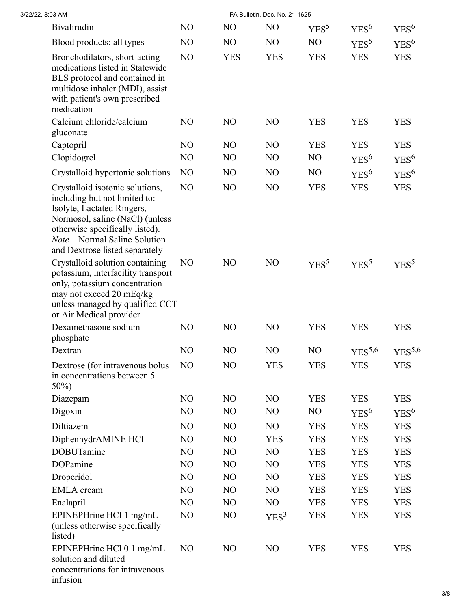| 3/22/22, 8:03 AM |                                                                                                                                                                                                                                       |                |                | PA Bulletin, Doc. No. 21-1625 |                  |                    |                  |
|------------------|---------------------------------------------------------------------------------------------------------------------------------------------------------------------------------------------------------------------------------------|----------------|----------------|-------------------------------|------------------|--------------------|------------------|
|                  | Bivalirudin                                                                                                                                                                                                                           | N <sub>O</sub> | N <sub>O</sub> | N <sub>O</sub>                | YES <sup>5</sup> | YES <sup>6</sup>   | YES <sup>6</sup> |
|                  | Blood products: all types                                                                                                                                                                                                             | N <sub>O</sub> | NO             | NO.                           | NO               | $YES^5$            | YES <sup>6</sup> |
|                  | Bronchodilators, short-acting<br>medications listed in Statewide<br>BLS protocol and contained in<br>multidose inhaler (MDI), assist<br>with patient's own prescribed<br>medication                                                   | NO             | <b>YES</b>     | <b>YES</b>                    | <b>YES</b>       | <b>YES</b>         | <b>YES</b>       |
| gluconate        | Calcium chloride/calcium                                                                                                                                                                                                              | N <sub>O</sub> | N <sub>O</sub> | N <sub>O</sub>                | <b>YES</b>       | <b>YES</b>         | <b>YES</b>       |
| Captopril        |                                                                                                                                                                                                                                       | N <sub>O</sub> | N <sub>O</sub> | N <sub>O</sub>                | <b>YES</b>       | <b>YES</b>         | <b>YES</b>       |
|                  | Clopidogrel                                                                                                                                                                                                                           | N <sub>O</sub> | NO             | NO                            | N <sub>O</sub>   | YES <sup>6</sup>   | YES <sup>6</sup> |
|                  | Crystalloid hypertonic solutions                                                                                                                                                                                                      | N <sub>O</sub> | NO             | N <sub>O</sub>                | N <sub>O</sub>   | $YES^6$            | YES <sup>6</sup> |
|                  | Crystalloid isotonic solutions,<br>including but not limited to:<br>Isolyte, Lactated Ringers,<br>Normosol, saline (NaCl) (unless<br>otherwise specifically listed).<br>Note-Normal Saline Solution<br>and Dextrose listed separately | NO             | NO             | NO                            | <b>YES</b>       | <b>YES</b>         | <b>YES</b>       |
|                  | Crystalloid solution containing<br>potassium, interfacility transport<br>only, potassium concentration<br>may not exceed 20 mEq/kg<br>unless managed by qualified CCT<br>or Air Medical provider                                      | N <sub>O</sub> | N <sub>O</sub> | N <sub>O</sub>                | YES <sup>5</sup> | YES <sup>5</sup>   | YES <sup>5</sup> |
| phosphate        | Dexamethasone sodium                                                                                                                                                                                                                  | N <sub>O</sub> | N <sub>O</sub> | N <sub>O</sub>                | <b>YES</b>       | <b>YES</b>         | <b>YES</b>       |
| Dextran          |                                                                                                                                                                                                                                       | N <sub>O</sub> | N <sub>O</sub> | N <sub>O</sub>                | NO               | YES <sup>5,6</sup> | $YES^{5,6}$      |
| $50\%)$          | Dextrose (for intravenous bolus<br>in concentrations between 5—                                                                                                                                                                       | N <sub>O</sub> | N <sub>O</sub> | <b>YES</b>                    | <b>YES</b>       | <b>YES</b>         | <b>YES</b>       |
| Diazepam         |                                                                                                                                                                                                                                       | N <sub>O</sub> | NO             | N <sub>O</sub>                | <b>YES</b>       | <b>YES</b>         | <b>YES</b>       |
| Digoxin          |                                                                                                                                                                                                                                       | N <sub>O</sub> | NO             | NO                            | NO               | YES <sup>6</sup>   | YES <sup>6</sup> |
| Diltiazem        |                                                                                                                                                                                                                                       | N <sub>O</sub> | NO             | N <sub>O</sub>                | <b>YES</b>       | <b>YES</b>         | <b>YES</b>       |
|                  | DiphenhydrAMINE HCl                                                                                                                                                                                                                   | N <sub>O</sub> | NO             | <b>YES</b>                    | <b>YES</b>       | <b>YES</b>         | <b>YES</b>       |
|                  | <b>DOBUTamine</b>                                                                                                                                                                                                                     | N <sub>O</sub> | N <sub>O</sub> | N <sub>O</sub>                | <b>YES</b>       | <b>YES</b>         | <b>YES</b>       |
|                  | DOPamine                                                                                                                                                                                                                              | N <sub>O</sub> | NO             | N <sub>O</sub>                | <b>YES</b>       | <b>YES</b>         | <b>YES</b>       |
|                  | Droperidol                                                                                                                                                                                                                            | N <sub>O</sub> | NO             | N <sub>O</sub>                | <b>YES</b>       | <b>YES</b>         | <b>YES</b>       |
|                  | <b>EMLA</b> cream                                                                                                                                                                                                                     | N <sub>O</sub> | NO             | N <sub>O</sub>                | <b>YES</b>       | <b>YES</b>         | <b>YES</b>       |
| Enalapril        |                                                                                                                                                                                                                                       | N <sub>O</sub> | NO             | NO                            | <b>YES</b>       | <b>YES</b>         | <b>YES</b>       |
| listed)          | EPINEPHrine HCl 1 mg/mL<br>(unless otherwise specifically                                                                                                                                                                             | NO             | NO             | YES <sup>3</sup>              | <b>YES</b>       | <b>YES</b>         | <b>YES</b>       |
| infusion         | EPINEPHrine HCl 0.1 mg/mL<br>solution and diluted<br>concentrations for intravenous                                                                                                                                                   | N <sub>O</sub> | N <sub>O</sub> | NO                            | <b>YES</b>       | <b>YES</b>         | <b>YES</b>       |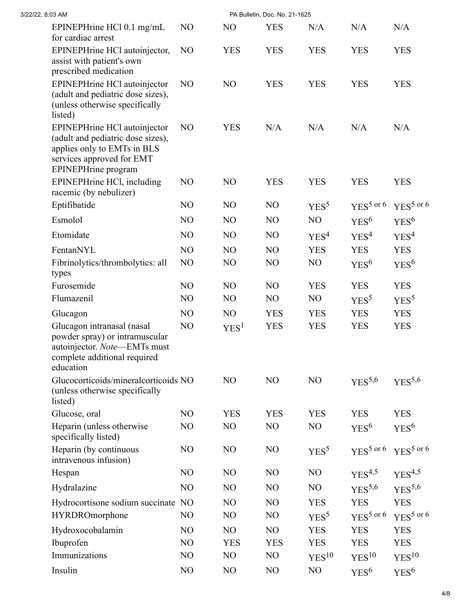| 3/22/22, 8:03 AM |                                                                                                                                                      | PA Bulletin, Doc. No. 21-1625 |                  |                |                   |                       |                       |  |  |
|------------------|------------------------------------------------------------------------------------------------------------------------------------------------------|-------------------------------|------------------|----------------|-------------------|-----------------------|-----------------------|--|--|
|                  | EPINEPHrine HCl 0.1 mg/mL<br>for cardiac arrest                                                                                                      | NO                            | N <sub>O</sub>   | <b>YES</b>     | N/A               | N/A                   | N/A                   |  |  |
|                  | EPINEPHrine HCl autoinjector,<br>assist with patient's own<br>prescribed medication                                                                  | N <sub>O</sub>                | <b>YES</b>       | <b>YES</b>     | <b>YES</b>        | <b>YES</b>            | <b>YES</b>            |  |  |
|                  | EPINEPHrine HCl autoinjector<br>(adult and pediatric dose sizes),<br>(unless otherwise specifically<br>listed)                                       | N <sub>O</sub>                | NO               | <b>YES</b>     | <b>YES</b>        | <b>YES</b>            | <b>YES</b>            |  |  |
|                  | EPINEPHrine HCl autoinjector<br>(adult and pediatric dose sizes),<br>applies only to EMTs in BLS<br>services approved for EMT<br>EPINEPHrine program | N <sub>O</sub>                | <b>YES</b>       | N/A            | N/A               | N/A                   | N/A                   |  |  |
|                  | EPINEPHrine HCl, including<br>racemic (by nebulizer)                                                                                                 | N <sub>O</sub>                | N <sub>O</sub>   | <b>YES</b>     | <b>YES</b>        | <b>YES</b>            | <b>YES</b>            |  |  |
|                  | Eptifibatide                                                                                                                                         | N <sub>O</sub>                | N <sub>O</sub>   | N <sub>O</sub> | YES <sup>5</sup>  | $YES5$ or 6           | YES <sup>5</sup> or 6 |  |  |
|                  | Esmolol                                                                                                                                              | NO                            | NO               | NO             | NO                | $YES^6$               | YES <sup>6</sup>      |  |  |
|                  | Etomidate                                                                                                                                            | N <sub>O</sub>                | N <sub>O</sub>   | N <sub>O</sub> | YES <sup>4</sup>  | YES <sup>4</sup>      | YES <sup>4</sup>      |  |  |
|                  | FentanNYL                                                                                                                                            | NO                            | NO               | NO             | <b>YES</b>        | <b>YES</b>            | <b>YES</b>            |  |  |
|                  | Fibrinolytics/thrombolytics: all<br>types                                                                                                            | NO                            | N <sub>O</sub>   | N <sub>O</sub> | NO                | YES <sup>6</sup>      | YES <sup>6</sup>      |  |  |
|                  | Furosemide                                                                                                                                           | N <sub>O</sub>                | N <sub>O</sub>   | NO             | <b>YES</b>        | <b>YES</b>            | <b>YES</b>            |  |  |
|                  | Flumazenil                                                                                                                                           | N <sub>O</sub>                | NO               | N <sub>O</sub> | N <sub>O</sub>    | YES <sup>5</sup>      | YES <sup>5</sup>      |  |  |
|                  | Glucagon                                                                                                                                             | N <sub>O</sub>                | NO               | <b>YES</b>     | <b>YES</b>        | <b>YES</b>            | <b>YES</b>            |  |  |
|                  | Glucagon intranasal (nasal<br>powder spray) or intramuscular<br>autoinjector. Note—EMTs must<br>complete additional required<br>education            | NO                            | YES <sup>1</sup> | <b>YES</b>     | <b>YES</b>        | <b>YES</b>            | <b>YES</b>            |  |  |
|                  | Glucocorticoids/mineralcorticoids NO<br>(unless otherwise specifically<br>listed)                                                                    |                               | NO               | NO             | NO                | $YES^{5,6}$           | $YES^{5,6}$           |  |  |
|                  | Glucose, oral                                                                                                                                        | NO                            | <b>YES</b>       | <b>YES</b>     | <b>YES</b>        | <b>YES</b>            | <b>YES</b>            |  |  |
|                  | Heparin (unless otherwise<br>specifically listed)                                                                                                    | NO                            | NO               | NO             | NO                | $YES^6$               | $YES^6$               |  |  |
|                  | Heparin (by continuous<br>intravenous infusion)                                                                                                      | N <sub>O</sub>                | NO               | NO             | YES <sup>5</sup>  | $YES5$ or 6           | YES <sup>5</sup> or 6 |  |  |
|                  | Hespan                                                                                                                                               | N <sub>O</sub>                | N <sub>O</sub>   | N <sub>O</sub> | NO                | $YES^{4,5}$           | $YES^{4,5}$           |  |  |
|                  | Hydralazine                                                                                                                                          | NO                            | NO               | N <sub>O</sub> | NO                | $YES^{5,6}$           | YES <sup>5,6</sup>    |  |  |
|                  | Hydrocortisone sodium succinate NO                                                                                                                   |                               | NO               | NO             | <b>YES</b>        | <b>YES</b>            | <b>YES</b>            |  |  |
|                  | HYRDROmorphone                                                                                                                                       | NO                            | NO               | N <sub>O</sub> | YES <sup>5</sup>  | YES <sup>5</sup> or 6 | YES <sup>5</sup> or 6 |  |  |
|                  | Hydroxocobalamin                                                                                                                                     | NO                            | NO               | NO             | <b>YES</b>        | <b>YES</b>            | <b>YES</b>            |  |  |
|                  | Ibuprofen                                                                                                                                            | NO                            | <b>YES</b>       | <b>YES</b>     | <b>YES</b>        | <b>YES</b>            | <b>YES</b>            |  |  |
|                  | Immunizations                                                                                                                                        | NO                            | N <sub>O</sub>   | N <sub>O</sub> | YES <sup>10</sup> | YES <sup>10</sup>     | YES <sup>10</sup>     |  |  |
|                  | Insulin                                                                                                                                              | NO                            | NO               | NO             | NO                | $YES^6$               | YES <sup>6</sup>      |  |  |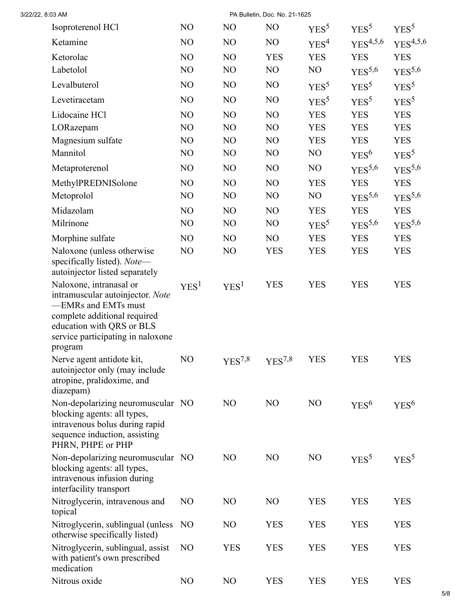| 3/22/22, 8:03 AM                                                                                                                                                                                |                  |                  | PA Bulletin, Doc. No. 21-1625 |                  |                    |                    |
|-------------------------------------------------------------------------------------------------------------------------------------------------------------------------------------------------|------------------|------------------|-------------------------------|------------------|--------------------|--------------------|
| Isoproterenol HCl                                                                                                                                                                               | N <sub>O</sub>   | N <sub>O</sub>   | N <sub>O</sub>                | YES <sup>5</sup> | YES <sup>5</sup>   | YES <sup>5</sup>   |
| Ketamine                                                                                                                                                                                        | NO               | N <sub>O</sub>   | N <sub>O</sub>                | YES <sup>4</sup> | $YES^{4,5,6}$      | $YES^{4,5,6}$      |
| Ketorolac                                                                                                                                                                                       | NO               | NO               | <b>YES</b>                    | <b>YES</b>       | <b>YES</b>         | <b>YES</b>         |
| Labetolol                                                                                                                                                                                       | NO               | NO               | N <sub>O</sub>                | NO               | $YES^{5,6}$        | YES <sup>5,6</sup> |
| Levalbuterol                                                                                                                                                                                    | NO               | N <sub>O</sub>   | NO                            | YES <sup>5</sup> | YES <sup>5</sup>   | YES <sup>5</sup>   |
| Levetiracetam                                                                                                                                                                                   | N <sub>O</sub>   | N <sub>O</sub>   | N <sub>O</sub>                | YES <sup>5</sup> | YES <sup>5</sup>   | YES <sup>5</sup>   |
| Lidocaine HCl                                                                                                                                                                                   | NO               | NO               | NO                            | <b>YES</b>       | <b>YES</b>         | <b>YES</b>         |
| LORazepam                                                                                                                                                                                       | NO               | N <sub>O</sub>   | N <sub>O</sub>                | <b>YES</b>       | <b>YES</b>         | <b>YES</b>         |
| Magnesium sulfate                                                                                                                                                                               | N <sub>O</sub>   | NO               | NO                            | <b>YES</b>       | <b>YES</b>         | <b>YES</b>         |
| Mannitol                                                                                                                                                                                        | NO               | N <sub>O</sub>   | NO                            | N <sub>O</sub>   | YES <sup>6</sup>   | YES <sup>5</sup>   |
| Metaproterenol                                                                                                                                                                                  | N <sub>O</sub>   | NO               | N <sub>O</sub>                | N <sub>O</sub>   | $YES^{5,6}$        | YES <sup>5,6</sup> |
| MethylPREDNISolone                                                                                                                                                                              | NO               | NO               | NO                            | <b>YES</b>       | <b>YES</b>         | <b>YES</b>         |
| Metoprolol                                                                                                                                                                                      | NO               | NO               | NO                            | NO               | YES <sup>5,6</sup> | YES <sup>5,6</sup> |
| Midazolam                                                                                                                                                                                       | NO               | NO               | NO                            | <b>YES</b>       | <b>YES</b>         | <b>YES</b>         |
| Milrinone                                                                                                                                                                                       | NO               | N <sub>O</sub>   | NO                            | YES <sup>5</sup> | YES <sup>5,6</sup> | YES <sup>5,6</sup> |
| Morphine sulfate                                                                                                                                                                                | NO               | NO               | NO                            | <b>YES</b>       | <b>YES</b>         | <b>YES</b>         |
| Naloxone (unless otherwise<br>specifically listed). Note-<br>autoinjector listed separately                                                                                                     | NO               | NO               | <b>YES</b>                    | <b>YES</b>       | <b>YES</b>         | <b>YES</b>         |
| Naloxone, intranasal or<br>intramuscular autoinjector. Note<br>-EMRs and EMTs must<br>complete additional required<br>education with QRS or BLS<br>service participating in naloxone<br>program | YES <sup>1</sup> | YES <sup>1</sup> | <b>YES</b>                    | <b>YES</b>       | <b>YES</b>         | <b>YES</b>         |
| Nerve agent antidote kit,<br>autoinjector only (may include<br>atropine, pralidoxime, and<br>diazepam)                                                                                          | NO               | $YES^{7,8}$      | YES <sup>7,8</sup>            | YES              | YES                | YES                |
| Non-depolarizing neuromuscular NO<br>blocking agents: all types,<br>intravenous bolus during rapid<br>sequence induction, assisting<br>PHRN, PHPE or PHP                                        |                  | N <sub>O</sub>   | N <sub>O</sub>                | N <sub>O</sub>   | $YES^6$            | YES <sup>6</sup>   |
| Non-depolarizing neuromuscular NO<br>blocking agents: all types,<br>intravenous infusion during<br>interfacility transport                                                                      |                  | N <sub>O</sub>   | N <sub>O</sub>                | N <sub>O</sub>   | YES <sup>5</sup>   | YES <sup>5</sup>   |
| Nitroglycerin, intravenous and<br>topical                                                                                                                                                       | N <sub>O</sub>   | N <sub>O</sub>   | N <sub>O</sub>                | <b>YES</b>       | <b>YES</b>         | <b>YES</b>         |
| Nitroglycerin, sublingual (unless)<br>otherwise specifically listed)                                                                                                                            | N <sub>O</sub>   | N <sub>O</sub>   | <b>YES</b>                    | <b>YES</b>       | <b>YES</b>         | <b>YES</b>         |
| Nitroglycerin, sublingual, assist<br>with patient's own prescribed<br>medication                                                                                                                | NO               | <b>YES</b>       | <b>YES</b>                    | <b>YES</b>       | <b>YES</b>         | <b>YES</b>         |
| Nitrous oxide                                                                                                                                                                                   | NO               | N <sub>O</sub>   | <b>YES</b>                    | <b>YES</b>       | <b>YES</b>         | <b>YES</b>         |
|                                                                                                                                                                                                 |                  |                  |                               |                  |                    |                    |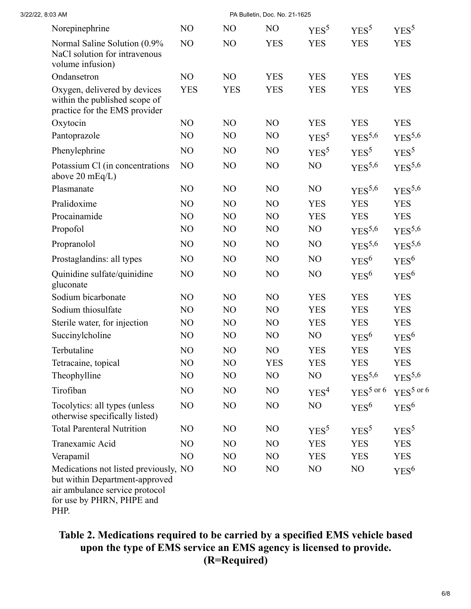| 3/22/22, 8:03 AM                                                                                                                               |                |                |                |                  |                       |                       |
|------------------------------------------------------------------------------------------------------------------------------------------------|----------------|----------------|----------------|------------------|-----------------------|-----------------------|
| Norepinephrine                                                                                                                                 | NO             | N <sub>O</sub> | N <sub>O</sub> | YES <sup>5</sup> | YES <sup>5</sup>      | YES <sup>5</sup>      |
| Normal Saline Solution (0.9%<br>NaCl solution for intravenous<br>volume infusion)                                                              | NO             | NO             | <b>YES</b>     | <b>YES</b>       | <b>YES</b>            | <b>YES</b>            |
| Ondansetron                                                                                                                                    | NO             | NO             | <b>YES</b>     | <b>YES</b>       | <b>YES</b>            | <b>YES</b>            |
| Oxygen, delivered by devices<br>within the published scope of<br>practice for the EMS provider                                                 | <b>YES</b>     | <b>YES</b>     | <b>YES</b>     | <b>YES</b>       | <b>YES</b>            | <b>YES</b>            |
| Oxytocin                                                                                                                                       | NO             | NO             | NO             | <b>YES</b>       | <b>YES</b>            | <b>YES</b>            |
| Pantoprazole                                                                                                                                   | NO             | NO             | NO             | YES <sup>5</sup> | YES <sup>5,6</sup>    | $YES^{5,6}$           |
| Phenylephrine                                                                                                                                  | NO             | NO             | NO             | YES <sup>5</sup> | YES <sup>5</sup>      | YES <sup>5</sup>      |
| Potassium Cl (in concentrations<br>above $20 \text{ mEq/L}$                                                                                    | NO             | NO             | NO             | NO               | $YES^{5,6}$           | $YES^{5,6}$           |
| Plasmanate                                                                                                                                     | NO             | N <sub>O</sub> | N <sub>O</sub> | N <sub>O</sub>   | $YES^{5,6}$           | $YES^{5,6}$           |
| Pralidoxime                                                                                                                                    | NO             | NO             | NO             | <b>YES</b>       | <b>YES</b>            | <b>YES</b>            |
| Procainamide                                                                                                                                   | NO             | NO             | N <sub>O</sub> | <b>YES</b>       | <b>YES</b>            | <b>YES</b>            |
| Propofol                                                                                                                                       | N <sub>O</sub> | NO             | N <sub>O</sub> | NO               | YES <sup>5,6</sup>    | YES <sup>5,6</sup>    |
| Propranolol                                                                                                                                    | NO             | NO             | NO             | NO               | $YES^{5,6}$           | $YES^{5,6}$           |
| Prostaglandins: all types                                                                                                                      | NO             | NO             | NO             | NO               | YES <sup>6</sup>      | YES <sup>6</sup>      |
| Quinidine sulfate/quinidine<br>gluconate                                                                                                       | NO             | NO             | NO             | NO               | $YES^6$               | YES <sup>6</sup>      |
| Sodium bicarbonate                                                                                                                             | NO             | NO             | NO             | <b>YES</b>       | <b>YES</b>            | <b>YES</b>            |
| Sodium thiosulfate                                                                                                                             | N <sub>O</sub> | NO             | NO             | <b>YES</b>       | <b>YES</b>            | <b>YES</b>            |
| Sterile water, for injection                                                                                                                   | NO             | NO             | NO             | <b>YES</b>       | <b>YES</b>            | <b>YES</b>            |
| Succinylcholine                                                                                                                                | N <sub>O</sub> | NO             | N <sub>O</sub> | NO               | YES <sup>6</sup>      | YES <sup>6</sup>      |
| Terbutaline                                                                                                                                    | NO             | NO             | NO             | <b>YES</b>       | <b>YES</b>            | <b>YES</b>            |
| Tetracaine, topical                                                                                                                            | N <sub>O</sub> | N <sub>O</sub> | <b>YES</b>     | <b>YES</b>       | <b>YES</b>            | <b>YES</b>            |
| Theophylline                                                                                                                                   | NO             | NO             | NO             | NO               | YES <sup>5,6</sup>    | YES <sup>5,6</sup>    |
| Tirofiban                                                                                                                                      | N <sub>O</sub> | N <sub>O</sub> | N <sub>O</sub> | YES <sup>4</sup> | YES <sup>5</sup> or 6 | YES <sup>5</sup> or 6 |
| Tocolytics: all types (unless<br>otherwise specifically listed)                                                                                | NO             | NO             | NO             | NO               | YES <sup>6</sup>      | $YES^6$               |
| <b>Total Parenteral Nutrition</b>                                                                                                              | N <sub>O</sub> | N <sub>O</sub> | NO             | YES <sup>5</sup> | YES <sup>5</sup>      | YES <sup>5</sup>      |
| Tranexamic Acid                                                                                                                                | NO             | NO             | NO             | <b>YES</b>       | <b>YES</b>            | <b>YES</b>            |
| Verapamil                                                                                                                                      | NO             | NO             | N <sub>O</sub> | <b>YES</b>       | <b>YES</b>            | <b>YES</b>            |
| Medications not listed previously, NO<br>but within Department-approved<br>air ambulance service protocol<br>for use by PHRN, PHPE and<br>PHP. |                | NO             | NO             | NO               | NO                    | YES <sup>6</sup>      |

**Table 2. Medications required to be carried by a specified EMS vehicle based upon the type of EMS service an EMS agency is licensed to provide. (R=Required)**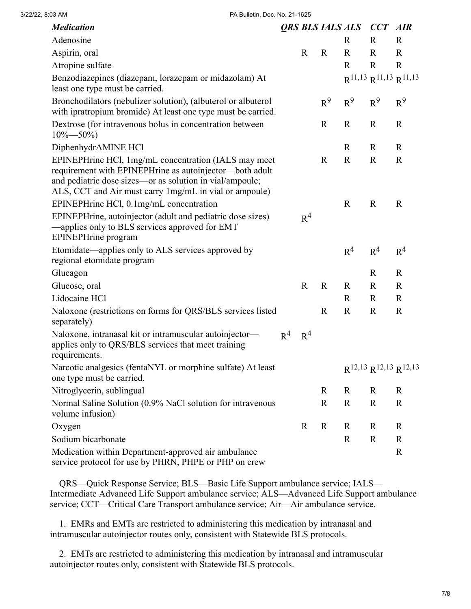| <b>Medication</b>                                                                                                                                                                                                                     |                |                |             | <b>QRS BLS IALS ALS CCT AIR</b> |                                 |                |
|---------------------------------------------------------------------------------------------------------------------------------------------------------------------------------------------------------------------------------------|----------------|----------------|-------------|---------------------------------|---------------------------------|----------------|
| Adenosine                                                                                                                                                                                                                             |                |                |             | $\mathbf R$                     | R                               | $\mathbf R$    |
| Aspirin, oral                                                                                                                                                                                                                         |                | $\mathbf R$    | $\mathbf R$ | $\mathbf R$                     | $\mathbf R$                     | $\mathbf R$    |
| Atropine sulfate                                                                                                                                                                                                                      |                |                |             | $\mathbf R$                     | $\mathbf R$                     | $\mathbf R$    |
| Benzodiazepines (diazepam, lorazepam or midazolam) At<br>least one type must be carried.                                                                                                                                              |                |                |             |                                 | $R^{11,13} R^{11,13} R^{11,13}$ |                |
| Bronchodilators (nebulizer solution), (albuterol or albuterol<br>with ipratropium bromide) At least one type must be carried.                                                                                                         |                |                | $R^9$       | $R^9$                           | $\mathbb{R}^9$                  | $R^9$          |
| Dextrose (for intravenous bolus in concentration between<br>$10\% - 50\%$                                                                                                                                                             |                |                | $\mathbf R$ | $\mathbf R$                     | $\mathbf R$                     | $\mathbf R$    |
| DiphenhydrAMINE HCl                                                                                                                                                                                                                   |                |                |             | $\mathbf R$                     | $\mathbf R$                     | $\mathbf R$    |
| EPINEPHrine HCl, 1mg/mL concentration (IALS may meet<br>requirement with EPINEPHrine as autoinjector-both adult<br>and pediatric dose sizes—or as solution in vial/ampoule;<br>ALS, CCT and Air must carry 1mg/mL in vial or ampoule) |                |                | $\mathbf R$ | $\mathbf R$                     | $\mathbf R$                     | $\mathbf R$    |
| EPINEPHrine HCl, 0.1mg/mL concentration                                                                                                                                                                                               |                |                |             | $\mathbf R$                     | $\mathbf R$                     | $\mathbf R$    |
| EPINEPHrine, autoinjector (adult and pediatric dose sizes)<br>-applies only to BLS services approved for EMT<br>EPINEPHrine program                                                                                                   |                | R <sup>4</sup> |             |                                 |                                 |                |
| Etomidate—applies only to ALS services approved by<br>regional etomidate program                                                                                                                                                      |                |                |             | R <sup>4</sup>                  | R <sup>4</sup>                  | R <sup>4</sup> |
| Glucagon                                                                                                                                                                                                                              |                |                |             |                                 | $\mathbf R$                     | $\mathbf R$    |
| Glucose, oral                                                                                                                                                                                                                         |                | $\mathbf R$    | $\mathbf R$ | $\mathbf R$                     | $\mathbf R$                     | $\mathbf R$    |
| Lidocaine HCl                                                                                                                                                                                                                         |                |                |             | $\mathbf R$                     | $\mathbf R$                     | $\mathbf R$    |
| Naloxone (restrictions on forms for QRS/BLS services listed<br>separately)                                                                                                                                                            |                |                | $\mathbf R$ | $\mathbf R$                     | $\mathbf R$                     | $\mathbf R$    |
| Naloxone, intranasal kit or intramuscular autoinjector-<br>applies only to QRS/BLS services that meet training<br>requirements.                                                                                                       | R <sup>4</sup> | R <sup>4</sup> |             |                                 |                                 |                |
| Narcotic analgesics (fentaNYL or morphine sulfate) At least<br>one type must be carried.                                                                                                                                              |                |                |             |                                 | $R^{12,13} R^{12,13} R^{12,13}$ |                |
| Nitroglycerin, sublingual                                                                                                                                                                                                             |                |                | $\mathbf R$ | $\mathbf R$                     | $\mathbf R$                     | $\mathbf R$    |
| Normal Saline Solution (0.9% NaCl solution for intravenous<br>volume infusion)                                                                                                                                                        |                |                | $\mathbf R$ | $\mathbb{R}$                    | $\mathbf R$                     | $\mathbf R$    |
| Oxygen                                                                                                                                                                                                                                |                | $\mathbf R$    | $\mathbf R$ | $\mathbf R$                     | $\mathbf R$                     | $\mathbf R$    |
| Sodium bicarbonate                                                                                                                                                                                                                    |                |                |             | $\mathbb{R}$                    | $\mathbf R$                     | $\mathbf R$    |
| Medication within Department-approved air ambulance<br>service protocol for use by PHRN, PHPE or PHP on crew                                                                                                                          |                |                |             |                                 |                                 | $\mathbf R$    |

 QRS—Quick Response Service; BLS—Basic Life Support ambulance service; IALS— Intermediate Advanced Life Support ambulance service; ALS—Advanced Life Support ambulance service; CCT—Critical Care Transport ambulance service; Air—Air ambulance service.

 1. EMRs and EMTs are restricted to administering this medication by intranasal and intramuscular autoinjector routes only, consistent with Statewide BLS protocols.

 2. EMTs are restricted to administering this medication by intranasal and intramuscular autoinjector routes only, consistent with Statewide BLS protocols.